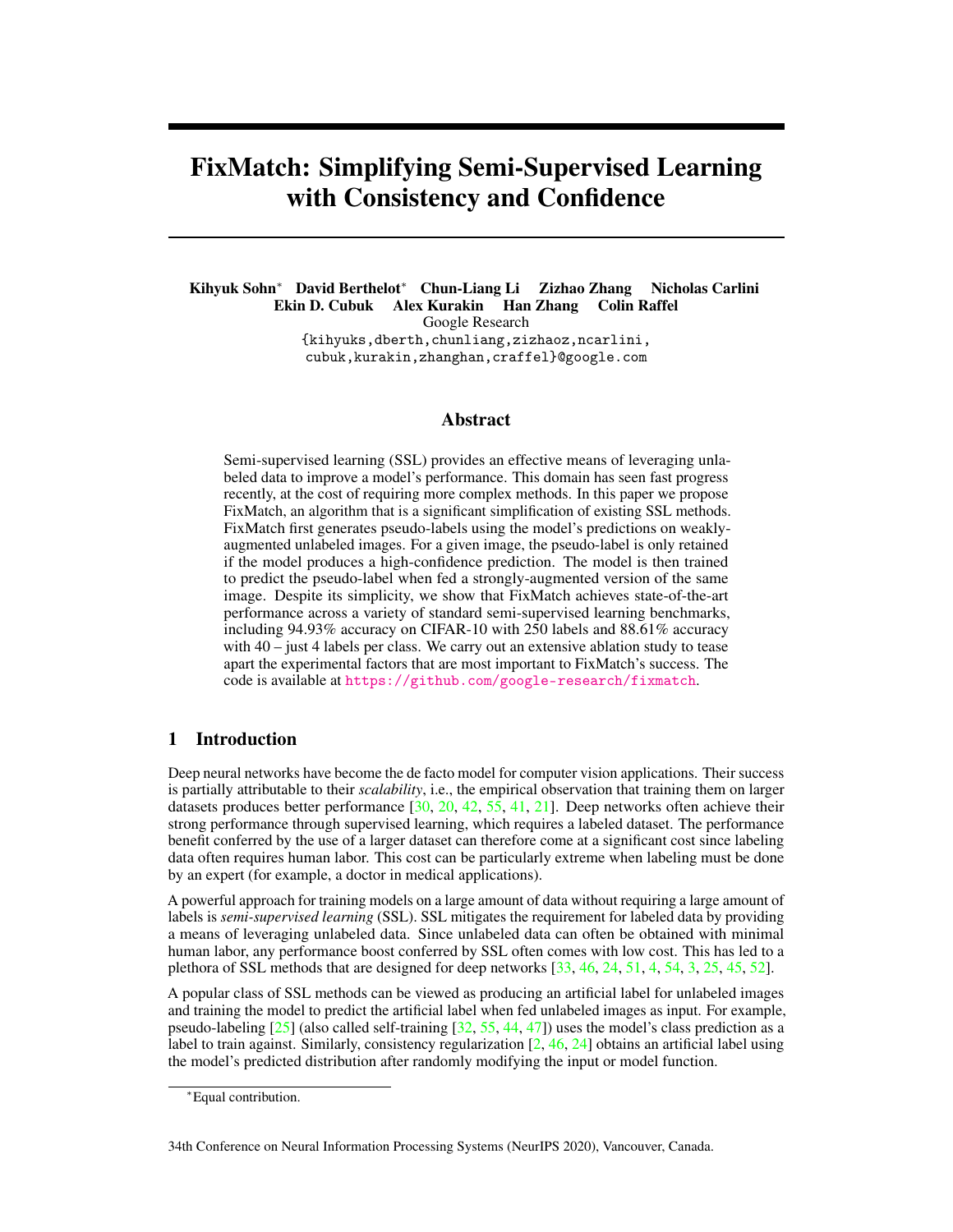# <span id="page-0-0"></span>FixMatch: Simplifying Semi-Supervised Learning with Consistency and Confidence

Kihyuk Sohn<sup>∗</sup> David Berthelot<sup>∗</sup> Chun-Liang Li Zizhao Zhang Nicholas Carlini Ekin D. Cubuk Alex Kurakin Han Zhang Colin Raffel Google Research {kihyuks,dberth,chunliang,zizhaoz,ncarlini, cubuk,kurakin,zhanghan,craffel}@google.com

## Abstract

Semi-supervised learning (SSL) provides an effective means of leveraging unlabeled data to improve a model's performance. This domain has seen fast progress recently, at the cost of requiring more complex methods. In this paper we propose FixMatch, an algorithm that is a significant simplification of existing SSL methods. FixMatch first generates pseudo-labels using the model's predictions on weaklyaugmented unlabeled images. For a given image, the pseudo-label is only retained if the model produces a high-confidence prediction. The model is then trained to predict the pseudo-label when fed a strongly-augmented version of the same image. Despite its simplicity, we show that FixMatch achieves state-of-the-art performance across a variety of standard semi-supervised learning benchmarks, including 94.93% accuracy on CIFAR-10 with 250 labels and 88.61% accuracy with 40 – just 4 labels per class. We carry out an extensive ablation study to tease apart the experimental factors that are most important to FixMatch's success. The code is available at <https://github.com/google-research/fixmatch>.

# 1 Introduction

Deep neural networks have become the de facto model for computer vision applications. Their success is partially attributable to their *scalability*, i.e., the empirical observation that training them on larger datasets produces better performance  $[30, 20, 42, 55, 41, 21]$  $[30, 20, 42, 55, 41, 21]$  $[30, 20, 42, 55, 41, 21]$  $[30, 20, 42, 55, 41, 21]$  $[30, 20, 42, 55, 41, 21]$  $[30, 20, 42, 55, 41, 21]$  $[30, 20, 42, 55, 41, 21]$  $[30, 20, 42, 55, 41, 21]$  $[30, 20, 42, 55, 41, 21]$  $[30, 20, 42, 55, 41, 21]$  $[30, 20, 42, 55, 41, 21]$ . Deep networks often achieve their strong performance through supervised learning, which requires a labeled dataset. The performance benefit conferred by the use of a larger dataset can therefore come at a significant cost since labeling data often requires human labor. This cost can be particularly extreme when labeling must be done by an expert (for example, a doctor in medical applications).

A powerful approach for training models on a large amount of data without requiring a large amount of labels is *semi-supervised learning* (SSL). SSL mitigates the requirement for labeled data by providing a means of leveraging unlabeled data. Since unlabeled data can often be obtained with minimal human labor, any performance boost conferred by SSL often comes with low cost. This has led to a plethora of SSL methods that are designed for deep networks [\[33,](#page-10-2) [46,](#page-11-2) [24,](#page-10-3) [51,](#page-11-3) [4,](#page-8-0) [54,](#page-11-4) [3,](#page-8-1) [25,](#page-10-4) [45,](#page-11-5) [52\]](#page-11-6).

A popular class of SSL methods can be viewed as producing an artificial label for unlabeled images and training the model to predict the artificial label when fed unlabeled images as input. For example, pseudo-labeling  $[25]$  (also called self-training  $[32, 55, 44, 47]$  $[32, 55, 44, 47]$  $[32, 55, 44, 47]$  $[32, 55, 44, 47]$  $[32, 55, 44, 47]$  $[32, 55, 44, 47]$  $[32, 55, 44, 47]$ ) uses the model's class prediction as a label to train against. Similarly, consistency regularization  $[2, 46, 24]$  $[2, 46, 24]$  $[2, 46, 24]$  $[2, 46, 24]$  $[2, 46, 24]$  obtains an artificial label using the model's predicted distribution after randomly modifying the input or model function.

34th Conference on Neural Information Processing Systems (NeurIPS 2020), Vancouver, Canada.

<sup>∗</sup>Equal contribution.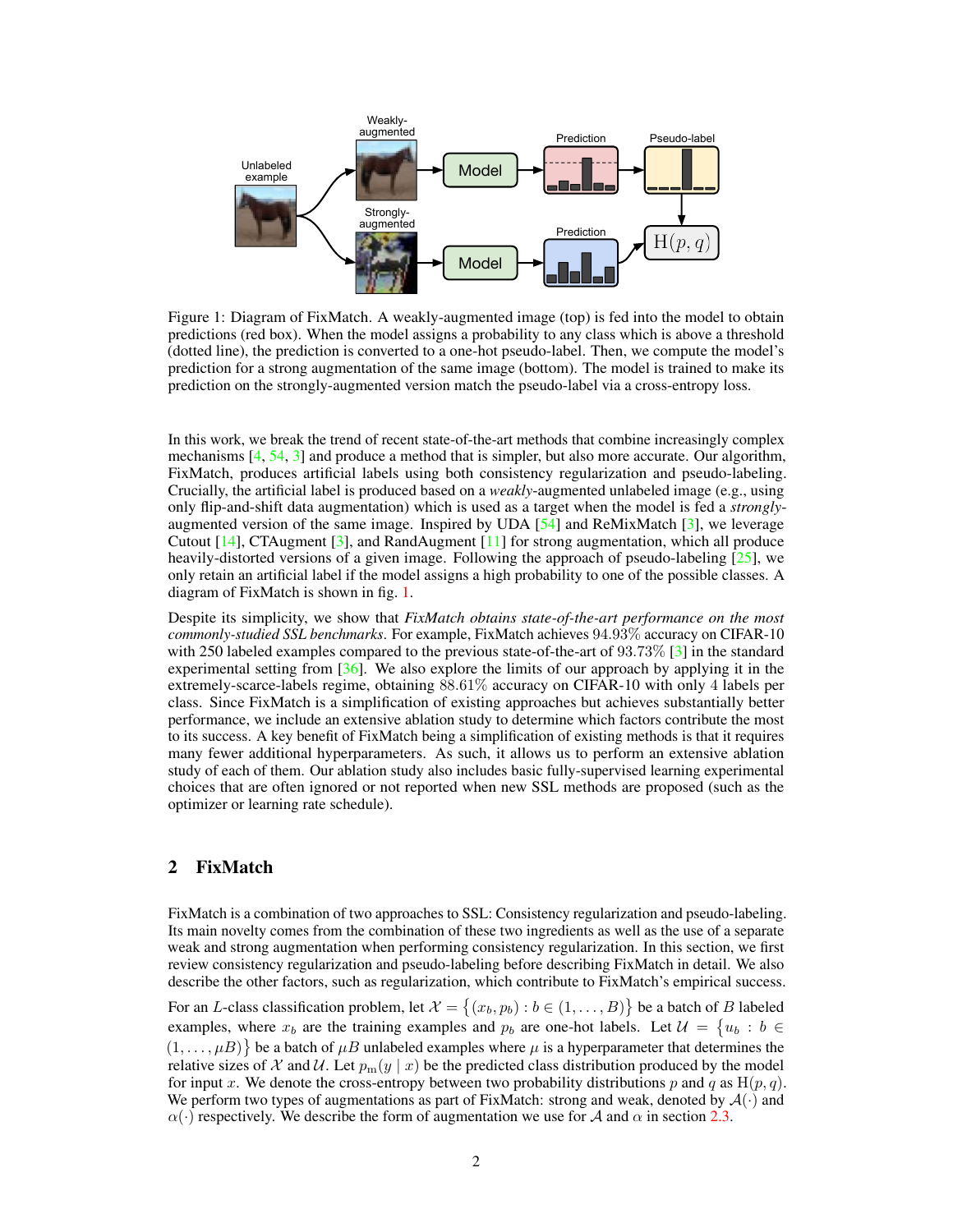<span id="page-1-2"></span><span id="page-1-0"></span>

Figure 1: Diagram of FixMatch. A weakly-augmented image (top) is fed into the model to obtain predictions (red box). When the model assigns a probability to any class which is above a threshold (dotted line), the prediction is converted to a one-hot pseudo-label. Then, we compute the model's prediction for a strong augmentation of the same image (bottom). The model is trained to make its prediction on the strongly-augmented version match the pseudo-label via a cross-entropy loss.

In this work, we break the trend of recent state-of-the-art methods that combine increasingly complex mechanisms  $[4, 54, 3]$  $[4, 54, 3]$  $[4, 54, 3]$  $[4, 54, 3]$  $[4, 54, 3]$  and produce a method that is simpler, but also more accurate. Our algorithm, FixMatch, produces artificial labels using both consistency regularization and pseudo-labeling. Crucially, the artificial label is produced based on a *weakly*-augmented unlabeled image (e.g., using only flip-and-shift data augmentation) which is used as a target when the model is fed a *strongly*augmented version of the same image. Inspired by UDA  $[54]$  and ReMixMatch  $[3]$ , we leverage Cutout [\[14\]](#page-9-2), CTAugment [\[3\]](#page-8-1), and RandAugment [\[11\]](#page-9-3) for strong augmentation, which all produce heavily-distorted versions of a given image. Following the approach of pseudo-labeling  $[25]$ , we only retain an artificial label if the model assigns a high probability to one of the possible classes. A diagram of FixMatch is shown in fig. [1.](#page-1-0)

Despite its simplicity, we show that *FixMatch obtains state-of-the-art performance on the most commonly-studied SSL benchmarks*. For example, FixMatch achieves 94.93% accuracy on CIFAR-10 with 250 labeled examples compared to the previous state-of-the-art of 93.73% [\[3\]](#page-8-1) in the standard experimental setting from [\[36\]](#page-10-6). We also explore the limits of our approach by applying it in the extremely-scarce-labels regime, obtaining 88.61% accuracy on CIFAR-10 with only 4 labels per class. Since FixMatch is a simplification of existing approaches but achieves substantially better performance, we include an extensive ablation study to determine which factors contribute the most to its success. A key benefit of FixMatch being a simplification of existing methods is that it requires many fewer additional hyperparameters. As such, it allows us to perform an extensive ablation study of each of them. Our ablation study also includes basic fully-supervised learning experimental choices that are often ignored or not reported when new SSL methods are proposed (such as the optimizer or learning rate schedule).

# <span id="page-1-1"></span>2 FixMatch

FixMatch is a combination of two approaches to SSL: Consistency regularization and pseudo-labeling. Its main novelty comes from the combination of these two ingredients as well as the use of a separate weak and strong augmentation when performing consistency regularization. In this section, we first review consistency regularization and pseudo-labeling before describing FixMatch in detail. We also describe the other factors, such as regularization, which contribute to FixMatch's empirical success.

For an L-class classification problem, let  $\mathcal{X} = \{(x_b, p_b) : b \in (1, \ldots, B)\}\$  be a batch of  $B$  labeled examples, where  $x_b$  are the training examples and  $p_b$  are one-hot labels. Let  $\mathcal{U} = \{u_b : b \in$  $(1,\ldots,\mu)$  be a batch of  $\mu$ B unlabeled examples where  $\mu$  is a hyperparameter that determines the relative sizes of X and U. Let  $p_m(y \mid x)$  be the predicted class distribution produced by the model for input x. We denote the cross-entropy between two probability distributions p and q as  $H(p,q)$ . We perform two types of augmentations as part of FixMatch: strong and weak, denoted by  $\mathcal{A}(\cdot)$  and  $\alpha(\cdot)$  respectively. We describe the form of augmentation we use for A and  $\alpha$  in section [2.3.](#page-3-0)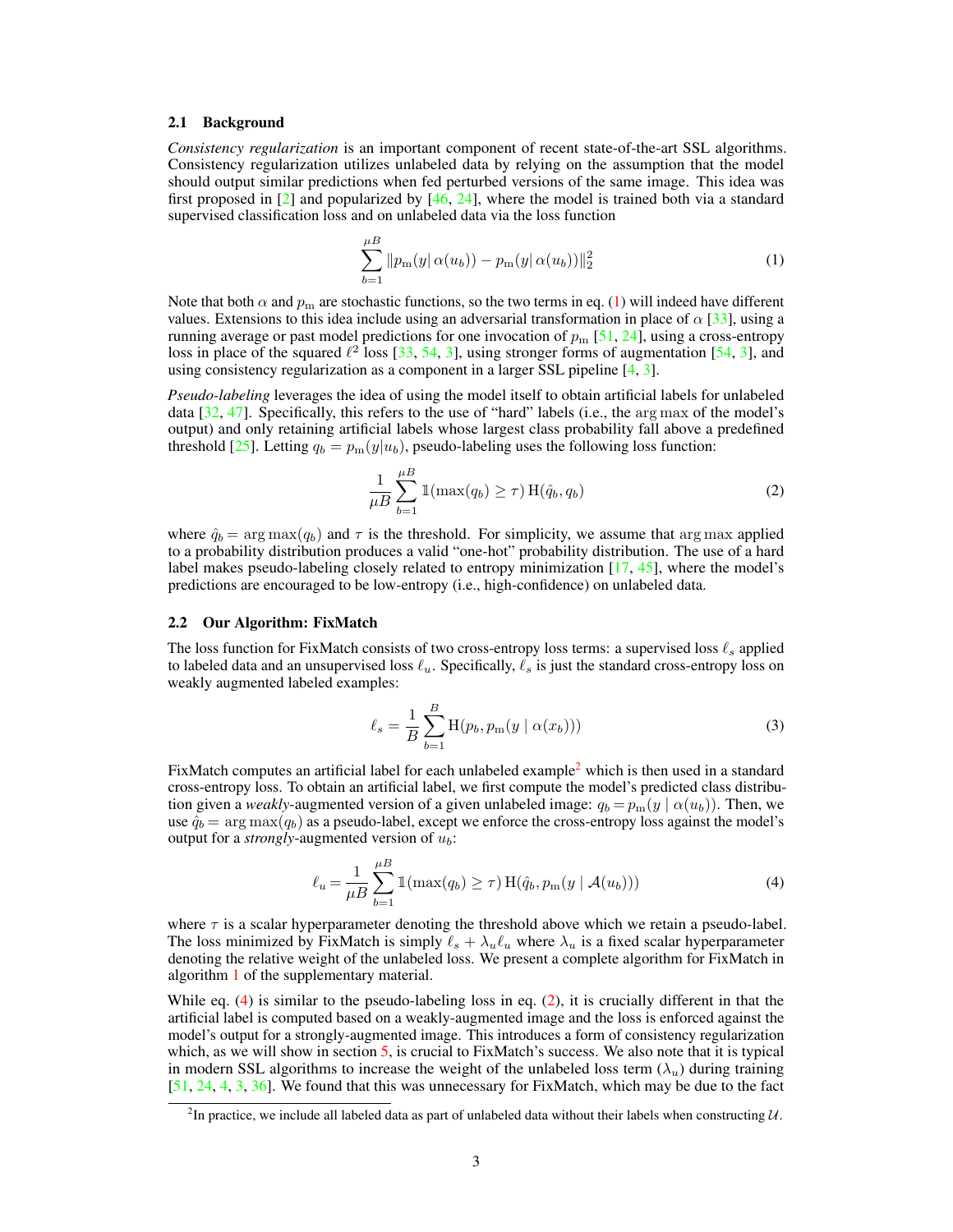#### <span id="page-2-5"></span>2.1 Background

*Consistency regularization* is an important component of recent state-of-the-art SSL algorithms. Consistency regularization utilizes unlabeled data by relying on the assumption that the model should output similar predictions when fed perturbed versions of the same image. This idea was first proposed in  $\lceil 2 \rceil$  and popularized by  $\lceil 46, 24 \rceil$ , where the model is trained both via a standard supervised classification loss and on unlabeled data via the loss function

<span id="page-2-0"></span>
$$
\sum_{b=1}^{\mu} \|p_m(y|\alpha(u_b)) - p_m(y|\alpha(u_b))\|_2^2
$$
 (1)

Note that both  $\alpha$  and  $p_m$  are stochastic functions, so the two terms in eq. [\(1\)](#page-2-0) will indeed have different values. Extensions to this idea include using an adversarial transformation in place of  $\alpha$  [\[33\]](#page-10-2), using a running average or past model predictions for one invocation of  $p_m$  [\[51,](#page-11-3) [24\]](#page-10-3), using a cross-entropy loss in place of the squared  $\ell^2$  loss [\[33,](#page-10-2) [54,](#page-11-4) [3\]](#page-8-1), using stronger forms of augmentation [\[54,](#page-11-4) 3], and using consistency regularization as a component in a larger SSL pipeline [\[4,](#page-8-0) [3\]](#page-8-1).

*Pseudo-labeling* leverages the idea of using the model itself to obtain artificial labels for unlabeled data [\[32,](#page-10-5) [47\]](#page-11-8). Specifically, this refers to the use of "hard" labels (i.e., the arg max of the model's output) and only retaining artificial labels whose largest class probability fall above a predefined threshold [\[25\]](#page-10-4). Letting  $q_b = p_m(y|u_b)$ , pseudo-labeling uses the following loss function:

<span id="page-2-3"></span>
$$
\frac{1}{\mu B} \sum_{b=1}^{\mu B} \mathbb{1}(\max(q_b) \ge \tau) \operatorname{H}(\hat{q}_b, q_b)
$$
\n(2)

where  $\hat{q}_b = \arg \max(q_b)$  and  $\tau$  is the threshold. For simplicity, we assume that arg max applied to a probability distribution produces a valid "one-hot" probability distribution. The use of a hard label makes pseudo-labeling closely related to entropy minimization [\[17,](#page-9-4) [45\]](#page-11-5), where the model's predictions are encouraged to be low-entropy (i.e., high-confidence) on unlabeled data.

#### <span id="page-2-4"></span>2.2 Our Algorithm: FixMatch

The loss function for FixMatch consists of two cross-entropy loss terms: a supervised loss  $\ell_s$  applied to labeled data and an unsupervised loss  $\ell_u$ . Specifically,  $\ell_s$  is just the standard cross-entropy loss on weakly augmented labeled examples:

$$
\ell_s = \frac{1}{B} \sum_{b=1}^{B} \mathcal{H}(p_b, p_m(y \mid \alpha(x_b)))) \tag{3}
$$

FixMatch computes an artificial label for each unlabeled example<sup>[2](#page-2-1)</sup> which is then used in a standard cross-entropy loss. To obtain an artificial label, we first compute the model's predicted class distribution given a *weakly*-augmented version of a given unlabeled image:  $q_b = p_m(y \mid \alpha(u_b))$ . Then, we use  $\hat{q}_b$  = arg max( $q_b$ ) as a pseudo-label, except we enforce the cross-entropy loss against the model's output for a *strongly*-augmented version of  $u_b$ :

<span id="page-2-2"></span>
$$
\ell_u = \frac{1}{\mu B} \sum_{b=1}^{\mu B} \mathbb{1}(\max(q_b) \ge \tau) \, \text{H}(\hat{q}_b, p_m(y \mid \mathcal{A}(u_b))) \tag{4}
$$

where  $\tau$  is a scalar hyperparameter denoting the threshold above which we retain a pseudo-label. The loss minimized by FixMatch is simply  $\ell_s + \lambda_u \ell_u$  where  $\lambda_u$  is a fixed scalar hyperparameter denoting the relative weight of the unlabeled loss. We present a complete algorithm for FixMatch in algorithm [1](#page--1-0) of the supplementary material.

While eq. [\(4\)](#page-2-2) is similar to the pseudo-labeling loss in eq. [\(2\)](#page-2-3), it is crucially different in that the artificial label is computed based on a weakly-augmented image and the loss is enforced against the model's output for a strongly-augmented image. This introduces a form of consistency regularization which, as we will show in section  $5$ , is crucial to FixMatch's success. We also note that it is typical in modern SSL algorithms to increase the weight of the unlabeled loss term  $(\lambda_u)$  during training [\[51,](#page-11-3) [24,](#page-10-3) [4,](#page-8-0) [3,](#page-8-1) [36\]](#page-10-6). We found that this was unnecessary for FixMatch, which may be due to the fact

<span id="page-2-1"></span><sup>&</sup>lt;sup>2</sup>In practice, we include all labeled data as part of unlabeled data without their labels when constructing  $U$ .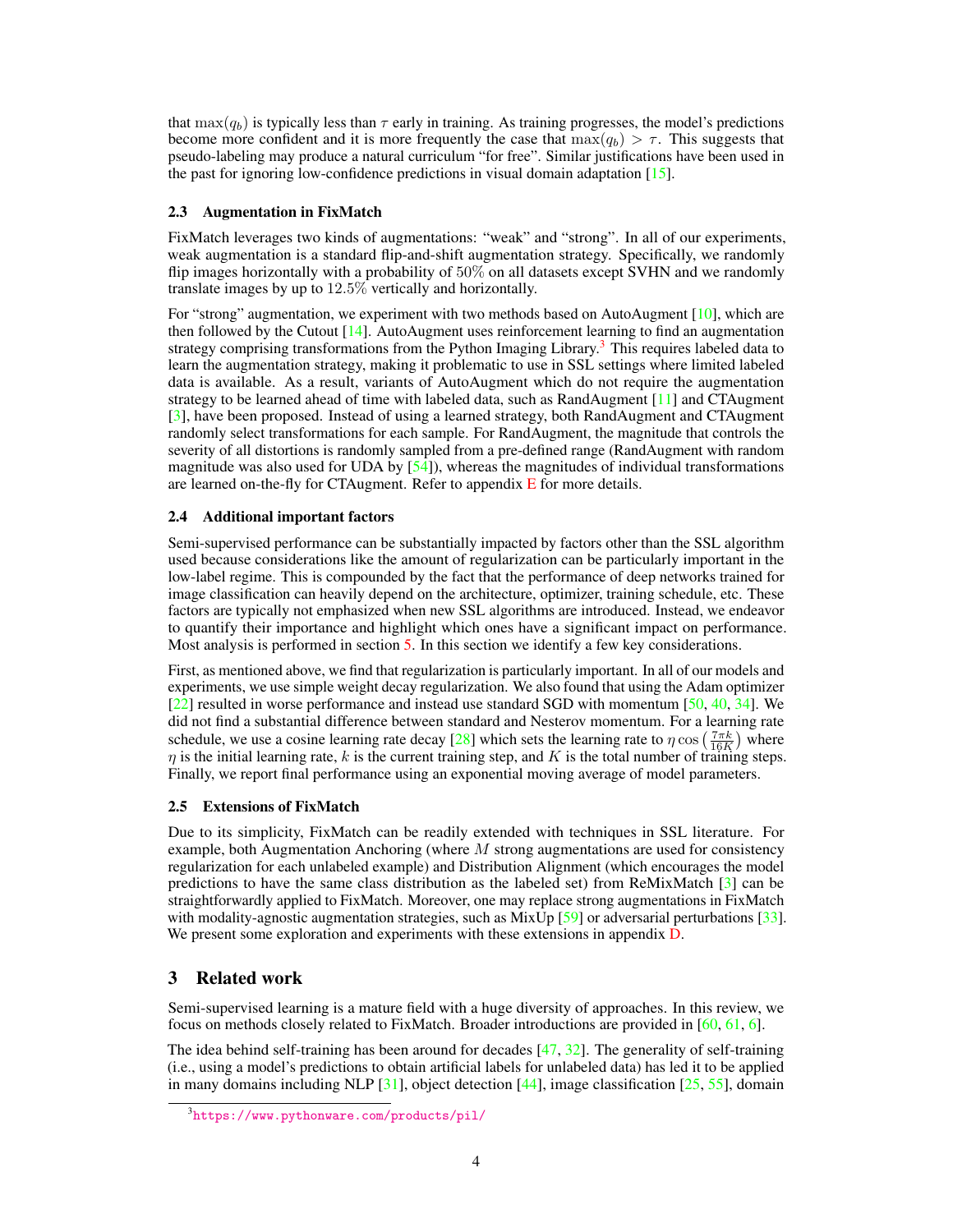<span id="page-3-2"></span>that max $(q_b)$  is typically less than  $\tau$  early in training. As training progresses, the model's predictions become more confident and it is more frequently the case that  $\max(q_b) > \tau$ . This suggests that pseudo-labeling may produce a natural curriculum "for free". Similar justifications have been used in the past for ignoring low-confidence predictions in visual domain adaptation [\[15\]](#page-9-5).

#### <span id="page-3-0"></span>2.3 Augmentation in FixMatch

FixMatch leverages two kinds of augmentations: "weak" and "strong". In all of our experiments, weak augmentation is a standard flip-and-shift augmentation strategy. Specifically, we randomly flip images horizontally with a probability of 50% on all datasets except SVHN and we randomly translate images by up to 12.5% vertically and horizontally.

For "strong" augmentation, we experiment with two methods based on AutoAugment [\[10\]](#page-9-6), which are then followed by the Cutout  $[14]$ . AutoAugment uses reinforcement learning to find an augmentation strategy comprising transformations from the Python Imaging Library.<sup>[3](#page-3-1)</sup> This requires labeled data to learn the augmentation strategy, making it problematic to use in SSL settings where limited labeled data is available. As a result, variants of AutoAugment which do not require the augmentation strategy to be learned ahead of time with labeled data, such as RandAugment [\[11\]](#page-9-3) and CTAugment [\[3\]](#page-8-1), have been proposed. Instead of using a learned strategy, both RandAugment and CTAugment randomly select transformations for each sample. For RandAugment, the magnitude that controls the severity of all distortions is randomly sampled from a pre-defined range (RandAugment with random magnitude was also used for UDA by  $[54]$ , whereas the magnitudes of individual transformations are learned on-the-fly for CTAugment. Refer to appendix  $E$  for more details.

#### 2.4 Additional important factors

Semi-supervised performance can be substantially impacted by factors other than the SSL algorithm used because considerations like the amount of regularization can be particularly important in the low-label regime. This is compounded by the fact that the performance of deep networks trained for image classification can heavily depend on the architecture, optimizer, training schedule, etc. These factors are typically not emphasized when new SSL algorithms are introduced. Instead, we endeavor to quantify their importance and highlight which ones have a significant impact on performance. Most analysis is performed in section [5.](#page-7-0) In this section we identify a few key considerations.

First, as mentioned above, we find that regularization is particularly important. In all of our models and experiments, we use simple weight decay regularization. We also found that using the Adam optimizer  $[2\overline{2}]$  resulted in worse performance and instead use standard SGD with momentum [\[50,](#page-11-9) [40,](#page-10-7) [34\]](#page-10-8). We did not find a substantial difference between standard and Nesterov momentum. For a learning rate schedule, we use a cosine learning rate decay [\[28\]](#page-10-9) which sets the learning rate to  $\eta \cos\left(\frac{7\pi k}{16K}\right)$  where  $\eta$  is the initial learning rate, k is the current training step, and K is the total number of training steps. Finally, we report final performance using an exponential moving average of model parameters.

#### 2.5 Extensions of FixMatch

Due to its simplicity, FixMatch can be readily extended with techniques in SSL literature. For example, both Augmentation Anchoring (where  $M$  strong augmentations are used for consistency regularization for each unlabeled example) and Distribution Alignment (which encourages the model predictions to have the same class distribution as the labeled set) from ReMixMatch [\[3\]](#page-8-1) can be straightforwardly applied to FixMatch. Moreover, one may replace strong augmentations in FixMatch with modality-agnostic augmentation strategies, such as MixUp [\[59\]](#page-11-10) or adversarial perturbations [\[33\]](#page-10-2). We present some exploration and experiments with these extensions in appendix [D.](#page--1-2)

# 3 Related work

Semi-supervised learning is a mature field with a huge diversity of approaches. In this review, we focus on methods closely related to FixMatch. Broader introductions are provided in [\[60,](#page-11-11) [61,](#page-12-0) [6\]](#page-9-8).

The idea behind self-training has been around for decades  $[47, 32]$  $[47, 32]$  $[47, 32]$ . The generality of self-training (i.e., using a model's predictions to obtain artificial labels for unlabeled data) has led it to be applied in many domains including NLP [\[31\]](#page-10-10), object detection [\[44\]](#page-11-7), image classification [\[25,](#page-10-4) [55\]](#page-11-1), domain

<span id="page-3-1"></span><sup>3</sup> <https://www.pythonware.com/products/pil/>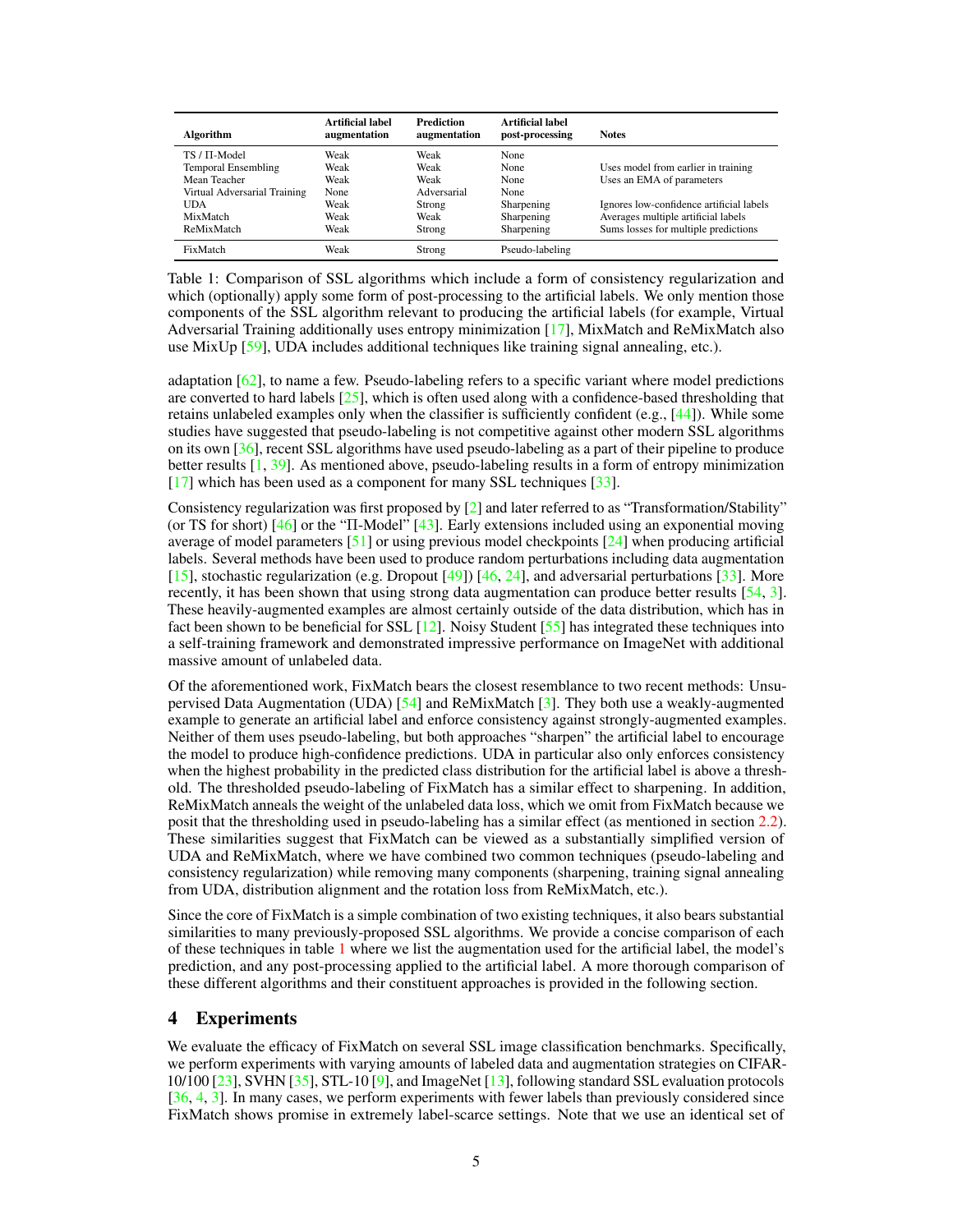<span id="page-4-1"></span><span id="page-4-0"></span>

| Algorithm                    | Artificial label<br>augmentation | <b>Prediction</b><br>augmentation | Artificial label<br>post-processing | <b>Notes</b>                             |
|------------------------------|----------------------------------|-----------------------------------|-------------------------------------|------------------------------------------|
| $TS / \Pi$ -Model            | Weak                             | Weak                              | None                                |                                          |
| <b>Temporal Ensembling</b>   | Weak                             | Weak                              | None                                | Uses model from earlier in training      |
| Mean Teacher                 | Weak                             | Weak                              | None                                | Uses an EMA of parameters                |
| Virtual Adversarial Training | None                             | Adversarial                       | None                                |                                          |
| <b>UDA</b>                   | Weak                             | Strong                            | Sharpening                          | Ignores low-confidence artificial labels |
| MixMatch                     | Weak                             | Weak                              | Sharpening                          | Averages multiple artificial labels      |
| ReMixMatch                   | Weak                             | Strong                            | Sharpening                          | Sums losses for multiple predictions     |
| FixMatch                     | Weak                             | Strong                            | Pseudo-labeling                     |                                          |

Table 1: Comparison of SSL algorithms which include a form of consistency regularization and which (optionally) apply some form of post-processing to the artificial labels. We only mention those components of the SSL algorithm relevant to producing the artificial labels (for example, Virtual Adversarial Training additionally uses entropy minimization [\[17\]](#page-9-4), MixMatch and ReMixMatch also use MixUp  $[59]$ , UDA includes additional techniques like training signal annealing, etc.).

adaptation  $[62]$ , to name a few. Pseudo-labeling refers to a specific variant where model predictions are converted to hard labels  $[25]$ , which is often used along with a confidence-based thresholding that retains unlabeled examples only when the classifier is sufficiently confident (e.g., [\[44\]](#page-11-7)). While some studies have suggested that pseudo-labeling is not competitive against other modern SSL algorithms on its own [\[36\]](#page-10-6), recent SSL algorithms have used pseudo-labeling as a part of their pipeline to produce better results [\[1,](#page-8-3) [39\]](#page-10-11). As mentioned above, pseudo-labeling results in a form of entropy minimization [\[17\]](#page-9-4) which has been used as a component for many SSL techniques [\[33\]](#page-10-2).

Consistency regularization was first proposed by [\[2\]](#page-8-2) and later referred to as "Transformation/Stability" (or TS for short) [\[46\]](#page-11-2) or the "Π-Model" [\[43\]](#page-11-12). Early extensions included using an exponential moving average of model parameters  $[51]$  or using previous model checkpoints  $[24]$  when producing artificial labels. Several methods have been used to produce random perturbations including data augmentation [\[15\]](#page-9-5), stochastic regularization (e.g. Dropout [\[49\]](#page-11-13)) [\[46,](#page-11-2) [24\]](#page-10-3), and adversarial perturbations [\[33\]](#page-10-2). More recently, it has been shown that using strong data augmentation can produce better results [\[54,](#page-11-4) [3\]](#page-8-1). These heavily-augmented examples are almost certainly outside of the data distribution, which has in fact been shown to be beneficial for SSL  $[12]$ . Noisy Student  $[55]$  has integrated these techniques into a self-training framework and demonstrated impressive performance on ImageNet with additional massive amount of unlabeled data.

Of the aforementioned work, FixMatch bears the closest resemblance to two recent methods: Unsupervised Data Augmentation (UDA) [\[54\]](#page-11-4) and ReMixMatch [\[3\]](#page-8-1). They both use a weakly-augmented example to generate an artificial label and enforce consistency against strongly-augmented examples. Neither of them uses pseudo-labeling, but both approaches "sharpen" the artificial label to encourage the model to produce high-confidence predictions. UDA in particular also only enforces consistency when the highest probability in the predicted class distribution for the artificial label is above a threshold. The thresholded pseudo-labeling of FixMatch has a similar effect to sharpening. In addition, ReMixMatch anneals the weight of the unlabeled data loss, which we omit from FixMatch because we posit that the thresholding used in pseudo-labeling has a similar effect (as mentioned in section [2.2\)](#page-2-4). These similarities suggest that FixMatch can be viewed as a substantially simplified version of UDA and ReMixMatch, where we have combined two common techniques (pseudo-labeling and consistency regularization) while removing many components (sharpening, training signal annealing from UDA, distribution alignment and the rotation loss from ReMixMatch, etc.).

Since the core of FixMatch is a simple combination of two existing techniques, it also bears substantial similarities to many previously-proposed SSL algorithms. We provide a concise comparison of each of these techniques in table [1](#page-4-0) where we list the augmentation used for the artificial label, the model's prediction, and any post-processing applied to the artificial label. A more thorough comparison of these different algorithms and their constituent approaches is provided in the following section.

### 4 Experiments

We evaluate the efficacy of FixMatch on several SSL image classification benchmarks. Specifically, we perform experiments with varying amounts of labeled data and augmentation strategies on CIFAR- $10/100$  [\[23\]](#page-9-10), SVHN [\[35\]](#page-10-12), STL-10 [\[9\]](#page-9-11), and ImageNet [\[13\]](#page-9-12), following standard SSL evaluation protocols [\[36,](#page-10-6) [4,](#page-8-0) [3\]](#page-8-1). In many cases, we perform experiments with fewer labels than previously considered since FixMatch shows promise in extremely label-scarce settings. Note that we use an identical set of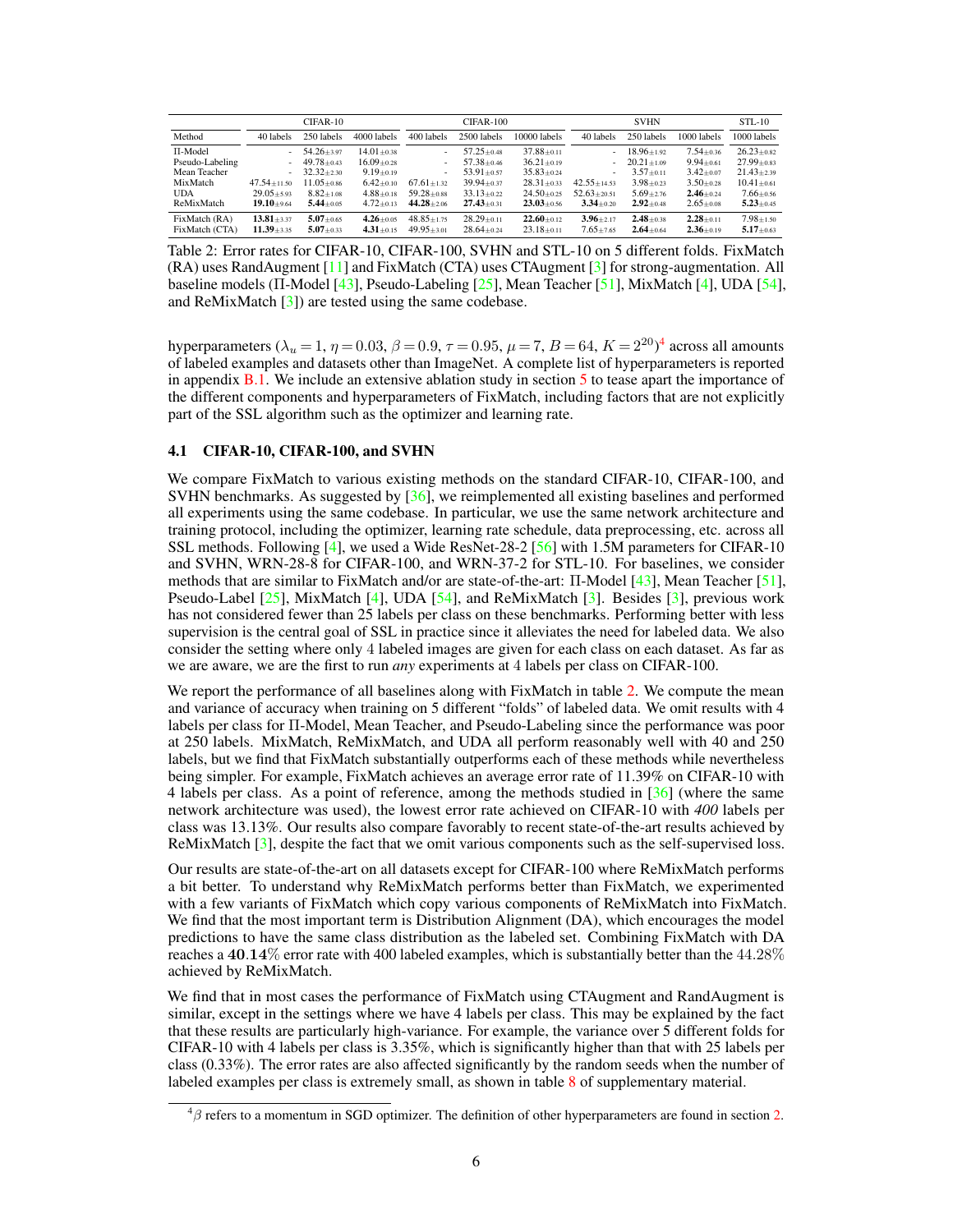<span id="page-5-2"></span><span id="page-5-1"></span>

|                 | CIFAR-10          |                  |                  | CIFAR-100        |                  |                  | <b>SVHN</b>     |                  |                 | $STL-10$         |
|-----------------|-------------------|------------------|------------------|------------------|------------------|------------------|-----------------|------------------|-----------------|------------------|
| Method          | 40 labels         | 250 labels       | 4000 labels      | 400 labels       | 2500 labels      | 10000 labels     | 40 labels       | 250 labels       | 1000 labels     | 1000 labels      |
| $\Pi$ -Model    |                   | $54.26 \pm 3.97$ | $14.01 \pm 0.38$ |                  | $57.25 \pm 0.48$ | $37.88 \pm 0.11$ | ۰               | $18.96 \pm 1.92$ | $7.54 \pm 0.36$ | $26.23 \pm 0.82$ |
| Pseudo-Labeling |                   | $49.78 \pm 0.43$ | $16.09 \pm 0.28$ |                  | $57.38 \pm 0.46$ | $36.21 \pm 0.19$ | ۰               | $20.21 \pm 1.09$ | $9.94 \pm 0.61$ | $27.99 \pm 0.83$ |
| Mean Teacher    |                   | $32.32 + 2.30$   | $9.19 \pm 0.19$  | ۰.               | $53.91 \pm 0.57$ | $35.83 \pm 0.24$ | ۰.              | $3.57 \pm 0.11$  | $3.42 \pm 0.07$ | $21.43 \pm 2.39$ |
| MixMatch        | $47.54 \pm 11.50$ | $11.05 \pm 0.86$ | $6.42 \pm 0.10$  | $67.61 \pm 1.32$ | $39.94 \pm 0.37$ | $28.31 \pm 0.33$ | $42.55 + 14.53$ | $3.98 \pm 0.23$  | $3.50 \pm 0.28$ | $10.41 \pm 0.61$ |
| UDA             | $29.05 + 5.93$    | $8.82 \pm 1.08$  | $4.88 \pm 0.18$  | $59.28 \pm 0.88$ | $33.13 \pm 0.22$ | $24.50 \pm 0.25$ | $52.63 + 20.51$ | $5.69 \pm 2.76$  | $2.46 \pm 0.24$ | $7.66 + 0.56$    |
| ReMixMatch      | $19.10 + 9.64$    | $5.44 \pm 0.05$  | $4.72 \pm 0.13$  | $44.28 \pm 2.06$ | $27.43 \pm 0.31$ | $23.03 \pm 0.56$ | $3.34 + 0.20$   | $2.92 + 0.48$    | $2.65 \pm 0.08$ | $5.23 + 0.45$    |
| FixMatch (RA)   | $13.81 + 3.37$    | $5.07 \pm 0.65$  | $4.26 \pm 0.05$  | $48.85 \pm 1.75$ | $28.29 \pm 0.11$ | $22.60 \pm 0.12$ | $3.96 + 2.17$   | $2.48 + 0.38$    | $2.28 + 0.11$   | $7.98 + 1.50$    |
| FixMatch (CTA)  | $11.39 + 3.35$    | $5.07 \pm 0.33$  | $4.31 + 0.15$    | $49.95 \pm 3.01$ | $28.64 \pm 0.24$ | $23.18 \pm 0.11$ | $7.65 + 7.65$   | $2.64 \pm 0.64$  | $2.36 \pm 0.19$ | $5.17 + 0.63$    |

Table 2: Error rates for CIFAR-10, CIFAR-100, SVHN and STL-10 on 5 different folds. FixMatch (RA) uses RandAugment [\[11\]](#page-9-3) and FixMatch (CTA) uses CTAugment [\[3\]](#page-8-1) for strong-augmentation. All baseline models (Π-Model [\[43\]](#page-11-12), Pseudo-Labeling [\[25\]](#page-10-4), Mean Teacher [\[51\]](#page-11-3), MixMatch [\[4\]](#page-8-0), UDA [\[54\]](#page-11-4), and ReMixMatch [\[3\]](#page-8-1)) are tested using the same codebase.

hyperparameters ( $\lambda_u = 1$ ,  $\eta = 0.03$ ,  $\beta = 0.9$ ,  $\tau = 0.95$ ,  $\mu = 7$ ,  $B = 64$  $B = 64$ ,  $K = 2^{20})^4$  across all amounts of labeled examples and datasets other than ImageNet. A complete list of hyperparameters is reported in appendix  $B.1$ . We include an extensive ablation study in section [5](#page-7-0) to tease apart the importance of the different components and hyperparameters of FixMatch, including factors that are not explicitly part of the SSL algorithm such as the optimizer and learning rate.

#### 4.1 CIFAR-10, CIFAR-100, and SVHN

We compare FixMatch to various existing methods on the standard CIFAR-10, CIFAR-100, and SVHN benchmarks. As suggested by [\[36\]](#page-10-6), we reimplemented all existing baselines and performed all experiments using the same codebase. In particular, we use the same network architecture and training protocol, including the optimizer, learning rate schedule, data preprocessing, etc. across all SSL methods. Following [\[4\]](#page-8-0), we used a Wide ResNet-28-2 [\[56\]](#page-11-14) with 1.5M parameters for CIFAR-10 and SVHN, WRN-28-8 for CIFAR-100, and WRN-37-2 for STL-10. For baselines, we consider methods that are similar to FixMatch and/or are state-of-the-art: Π-Model [\[43\]](#page-11-12), Mean Teacher [\[51\]](#page-11-3), Pseudo-Label  $[25]$ , MixMatch  $[4]$ , UDA  $[54]$ , and ReMixMatch  $[3]$ . Besides  $[3]$ , previous work has not considered fewer than 25 labels per class on these benchmarks. Performing better with less supervision is the central goal of SSL in practice since it alleviates the need for labeled data. We also consider the setting where only 4 labeled images are given for each class on each dataset. As far as we are aware, we are the first to run *any* experiments at 4 labels per class on CIFAR-100.

We report the performance of all baselines along with FixMatch in table [2.](#page-5-1) We compute the mean and variance of accuracy when training on 5 different "folds" of labeled data. We omit results with 4 labels per class for Π-Model, Mean Teacher, and Pseudo-Labeling since the performance was poor at 250 labels. MixMatch, ReMixMatch, and UDA all perform reasonably well with 40 and 250 labels, but we find that FixMatch substantially outperforms each of these methods while nevertheless being simpler. For example, FixMatch achieves an average error rate of 11.39% on CIFAR-10 with 4 labels per class. As a point of reference, among the methods studied in [\[36\]](#page-10-6) (where the same network architecture was used), the lowest error rate achieved on CIFAR-10 with *400* labels per class was 13.13%. Our results also compare favorably to recent state-of-the-art results achieved by ReMixMatch [\[3\]](#page-8-1), despite the fact that we omit various components such as the self-supervised loss.

Our results are state-of-the-art on all datasets except for CIFAR-100 where ReMixMatch performs a bit better. To understand why ReMixMatch performs better than FixMatch, we experimented with a few variants of FixMatch which copy various components of ReMixMatch into FixMatch. We find that the most important term is Distribution Alignment (DA), which encourages the model predictions to have the same class distribution as the labeled set. Combining FixMatch with DA reaches a 40.14% error rate with 400 labeled examples, which is substantially better than the 44.28% achieved by ReMixMatch.

We find that in most cases the performance of FixMatch using CTAugment and RandAugment is similar, except in the settings where we have 4 labels per class. This may be explained by the fact that these results are particularly high-variance. For example, the variance over 5 different folds for CIFAR-10 with 4 labels per class is 3.35%, which is significantly higher than that with 25 labels per class (0.33%). The error rates are also affected significantly by the random seeds when the number of labeled examples per class is extremely small, as shown in table [8](#page--1-4) of supplementary material.

<span id="page-5-0"></span> $^{4}\beta$  refers to a momentum in SGD optimizer. The definition of other hyperparameters are found in section [2.](#page-1-1)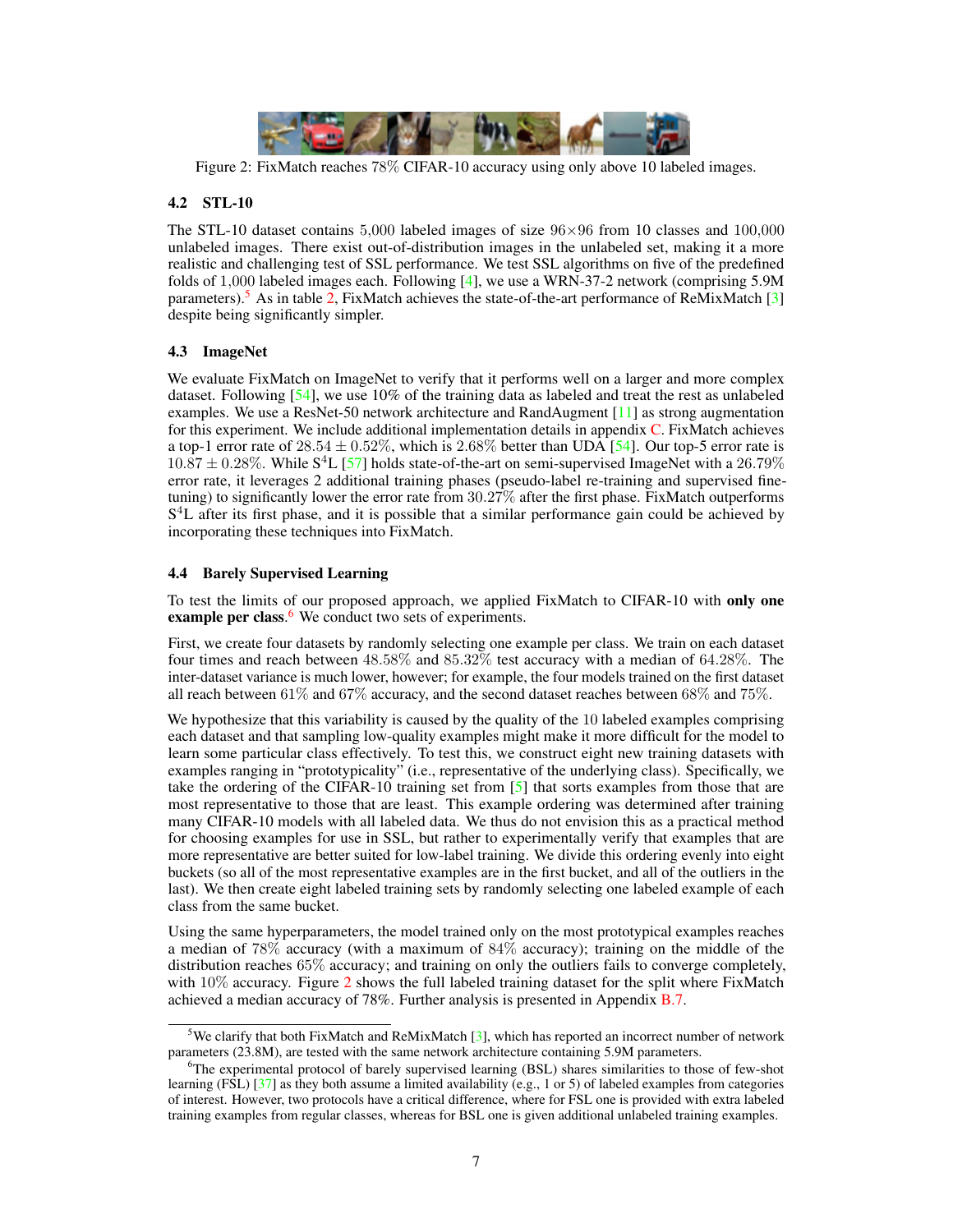<span id="page-6-3"></span><span id="page-6-2"></span>

Figure 2: FixMatch reaches 78% CIFAR-10 accuracy using only above 10 labeled images.

# 4.2 STL-10

The STL-10 dataset contains 5,000 labeled images of size  $96\times96$  from 10 classes and 100,000 unlabeled images. There exist out-of-distribution images in the unlabeled set, making it a more realistic and challenging test of SSL performance. We test SSL algorithms on five of the predefined folds of 1,000 labeled images each. Following [\[4\]](#page-8-0), we use a WRN-37-2 network (comprising 5.9M parameters).<sup>[5](#page-6-0)</sup> As in table [2,](#page-5-1) FixMatch achieves the state-of-the-art performance of ReMixMatch [\[3\]](#page-8-1) despite being significantly simpler.

# 4.3 ImageNet

We evaluate FixMatch on ImageNet to verify that it performs well on a larger and more complex dataset. Following  $[54]$ , we use 10% of the training data as labeled and treat the rest as unlabeled examples. We use a ResNet-50 network architecture and RandAugment [\[11\]](#page-9-3) as strong augmentation for this experiment. We include additional implementation details in appendix [C.](#page--1-5) FixMatch achieves a top-1 error rate of  $28.54 \pm 0.52\%$ , which is  $2.68\%$  better than UDA [\[54\]](#page-11-4). Our top-5 error rate is  $10.87 \pm 0.28\%$ . While S<sup>4</sup>L [\[57\]](#page-11-15) holds state-of-the-art on semi-supervised ImageNet with a 26.79% error rate, it leverages 2 additional training phases (pseudo-label re-training and supervised finetuning) to significantly lower the error rate from 30.27% after the first phase. FixMatch outperforms S<sup>4</sup>L after its first phase, and it is possible that a similar performance gain could be achieved by incorporating these techniques into FixMatch.

# 4.4 Barely Supervised Learning

To test the limits of our proposed approach, we applied FixMatch to CIFAR-10 with only one example per class.<sup>[6](#page-6-1)</sup> We conduct two sets of experiments.

First, we create four datasets by randomly selecting one example per class. We train on each dataset four times and reach between 48.58% and 85.32% test accuracy with a median of 64.28%. The inter-dataset variance is much lower, however; for example, the four models trained on the first dataset all reach between 61% and 67% accuracy, and the second dataset reaches between 68% and 75%.

We hypothesize that this variability is caused by the quality of the 10 labeled examples comprising each dataset and that sampling low-quality examples might make it more difficult for the model to learn some particular class effectively. To test this, we construct eight new training datasets with examples ranging in "prototypicality" (i.e., representative of the underlying class). Specifically, we take the ordering of the CIFAR-10 training set from  $[5]$  that sorts examples from those that are most representative to those that are least. This example ordering was determined after training many CIFAR-10 models with all labeled data. We thus do not envision this as a practical method for choosing examples for use in SSL, but rather to experimentally verify that examples that are more representative are better suited for low-label training. We divide this ordering evenly into eight buckets (so all of the most representative examples are in the first bucket, and all of the outliers in the last). We then create eight labeled training sets by randomly selecting one labeled example of each class from the same bucket.

Using the same hyperparameters, the model trained only on the most prototypical examples reaches a median of 78% accuracy (with a maximum of 84% accuracy); training on the middle of the distribution reaches 65% accuracy; and training on only the outliers fails to converge completely, with 10% accuracy. Figure [2](#page-6-2) shows the full labeled training dataset for the split where FixMatch achieved a median accuracy of 78%. Further analysis is presented in Appendix [B.7.](#page--1-6)

<span id="page-6-0"></span><sup>&</sup>lt;sup>5</sup>We clarify that both FixMatch and ReMixMatch [\[3\]](#page-8-1), which has reported an incorrect number of network parameters (23.8M), are tested with the same network architecture containing 5.9M parameters.

<span id="page-6-1"></span> $6$ The experimental protocol of barely supervised learning (BSL) shares similarities to those of few-shot learning (FSL) [\[37\]](#page-10-13) as they both assume a limited availability (e.g., 1 or 5) of labeled examples from categories of interest. However, two protocols have a critical difference, where for FSL one is provided with extra labeled training examples from regular classes, whereas for BSL one is given additional unlabeled training examples.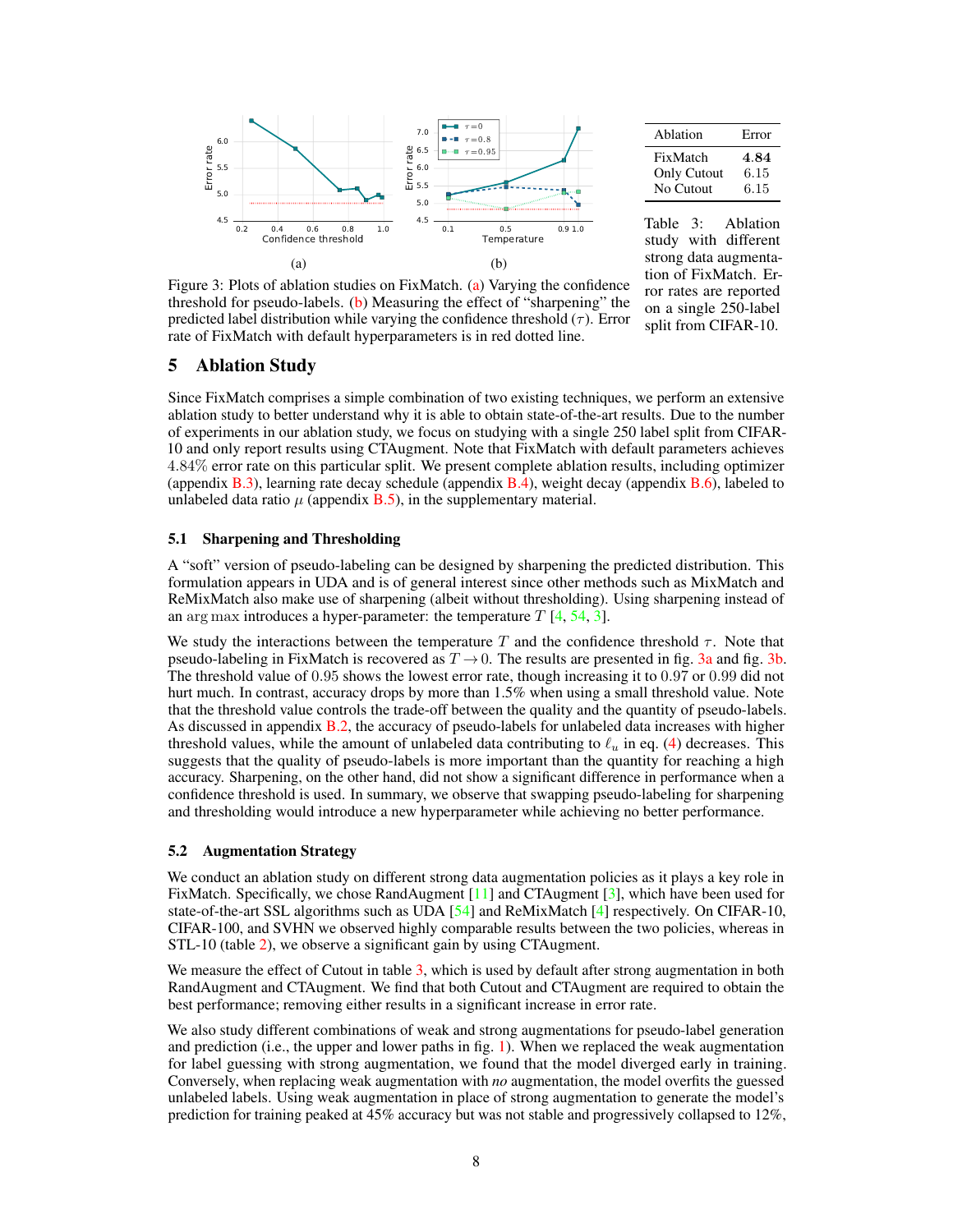<span id="page-7-3"></span><span id="page-7-1"></span>

<span id="page-7-2"></span>

| Ablation                             | Error                |
|--------------------------------------|----------------------|
| FixMatch<br>Only Cutout<br>No Cutout | 4.84<br>6.15<br>6.15 |

Table 3: Ablation study with different strong data augmentation of FixMatch. Error rates are reported on a single 250-label split from CIFAR-10.

Figure 3: Plots of ablation studies on FixMatch. [\(a\)](#page-7-1) Varying the confidence threshold for pseudo-labels. [\(b\)](#page-7-1) Measuring the effect of "sharpening" the predicted label distribution while varying the confidence threshold  $(\tau)$ . Error rate of FixMatch with default hyperparameters is in red dotted line.

# <span id="page-7-0"></span>5 Ablation Study

Since FixMatch comprises a simple combination of two existing techniques, we perform an extensive ablation study to better understand why it is able to obtain state-of-the-art results. Due to the number of experiments in our ablation study, we focus on studying with a single 250 label split from CIFAR-10 and only report results using CTAugment. Note that FixMatch with default parameters achieves 4.84% error rate on this particular split. We present complete ablation results, including optimizer (appendix  $B(3)$ , learning rate decay schedule (appendix  $B(4)$ , weight decay (appendix  $B(6)$ , labeled to unlabeled data ratio  $\mu$  (appendix **B.5**), in the supplementary material.

#### 5.1 Sharpening and Thresholding

A "soft" version of pseudo-labeling can be designed by sharpening the predicted distribution. This formulation appears in UDA and is of general interest since other methods such as MixMatch and ReMixMatch also make use of sharpening (albeit without thresholding). Using sharpening instead of an arg max introduces a hyper-parameter: the temperature  $T$  [\[4,](#page-8-0) [54,](#page-11-4) [3\]](#page-8-1).

We study the interactions between the temperature T and the confidence threshold  $\tau$ . Note that pseudo-labeling in FixMatch is recovered as  $T \rightarrow 0$ . The results are presented in fig. [3a](#page-7-1) and fig. [3b.](#page-7-1) The threshold value of 0.95 shows the lowest error rate, though increasing it to 0.97 or 0.99 did not hurt much. In contrast, accuracy drops by more than 1.5% when using a small threshold value. Note that the threshold value controls the trade-off between the quality and the quantity of pseudo-labels. As discussed in appendix [B.2,](#page--1-11) the accuracy of pseudo-labels for unlabeled data increases with higher threshold values, while the amount of unlabeled data contributing to  $\ell_u$  in eq. [\(4\)](#page-2-2) decreases. This suggests that the quality of pseudo-labels is more important than the quantity for reaching a high accuracy. Sharpening, on the other hand, did not show a significant difference in performance when a confidence threshold is used. In summary, we observe that swapping pseudo-labeling for sharpening and thresholding would introduce a new hyperparameter while achieving no better performance.

#### 5.2 Augmentation Strategy

We conduct an ablation study on different strong data augmentation policies as it plays a key role in FixMatch. Specifically, we chose RandAugment [\[11\]](#page-9-3) and CTAugment [\[3\]](#page-8-1), which have been used for state-of-the-art SSL algorithms such as UDA [\[54\]](#page-11-4) and ReMixMatch [\[4\]](#page-8-0) respectively. On CIFAR-10, CIFAR-100, and SVHN we observed highly comparable results between the two policies, whereas in STL-10 (table [2\)](#page-5-1), we observe a significant gain by using CTAugment.

We measure the effect of Cutout in table [3,](#page-7-2) which is used by default after strong augmentation in both RandAugment and CTAugment. We find that both Cutout and CTAugment are required to obtain the best performance; removing either results in a significant increase in error rate.

We also study different combinations of weak and strong augmentations for pseudo-label generation and prediction (i.e., the upper and lower paths in fig.  $1$ ). When we replaced the weak augmentation for label guessing with strong augmentation, we found that the model diverged early in training. Conversely, when replacing weak augmentation with *no* augmentation, the model overfits the guessed unlabeled labels. Using weak augmentation in place of strong augmentation to generate the model's prediction for training peaked at 45% accuracy but was not stable and progressively collapsed to 12%,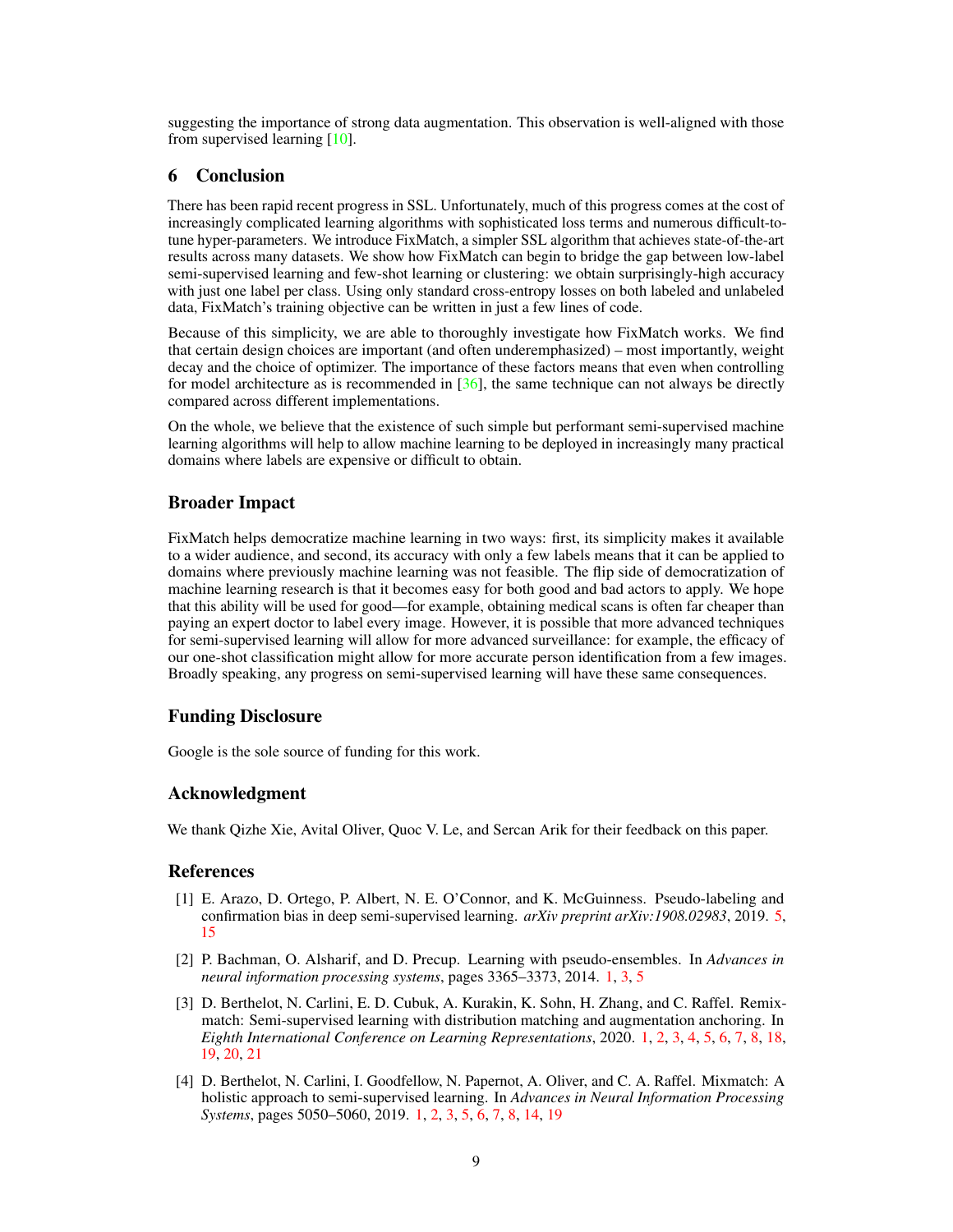<span id="page-8-4"></span>suggesting the importance of strong data augmentation. This observation is well-aligned with those from supervised learning [\[10\]](#page-9-6).

### 6 Conclusion

There has been rapid recent progress in SSL. Unfortunately, much of this progress comes at the cost of increasingly complicated learning algorithms with sophisticated loss terms and numerous difficult-totune hyper-parameters. We introduce FixMatch, a simpler SSL algorithm that achieves state-of-the-art results across many datasets. We show how FixMatch can begin to bridge the gap between low-label semi-supervised learning and few-shot learning or clustering: we obtain surprisingly-high accuracy with just one label per class. Using only standard cross-entropy losses on both labeled and unlabeled data, FixMatch's training objective can be written in just a few lines of code.

Because of this simplicity, we are able to thoroughly investigate how FixMatch works. We find that certain design choices are important (and often underemphasized) – most importantly, weight decay and the choice of optimizer. The importance of these factors means that even when controlling for model architecture as is recommended in  $[36]$ , the same technique can not always be directly compared across different implementations.

On the whole, we believe that the existence of such simple but performant semi-supervised machine learning algorithms will help to allow machine learning to be deployed in increasingly many practical domains where labels are expensive or difficult to obtain.

# Broader Impact

FixMatch helps democratize machine learning in two ways: first, its simplicity makes it available to a wider audience, and second, its accuracy with only a few labels means that it can be applied to domains where previously machine learning was not feasible. The flip side of democratization of machine learning research is that it becomes easy for both good and bad actors to apply. We hope that this ability will be used for good—for example, obtaining medical scans is often far cheaper than paying an expert doctor to label every image. However, it is possible that more advanced techniques for semi-supervised learning will allow for more advanced surveillance: for example, the efficacy of our one-shot classification might allow for more accurate person identification from a few images. Broadly speaking, any progress on semi-supervised learning will have these same consequences.

#### Funding Disclosure

Google is the sole source of funding for this work.

## Acknowledgment

We thank Qizhe Xie, Avital Oliver, Quoc V. Le, and Sercan Arik for their feedback on this paper.

# **References**

- <span id="page-8-3"></span>[1] E. Arazo, D. Ortego, P. Albert, N. E. O'Connor, and K. McGuinness. Pseudo-labeling and confirmation bias in deep semi-supervised learning. *arXiv preprint arXiv:1908.02983*, 2019. [5,](#page-4-1) [15](#page--1-12)
- <span id="page-8-2"></span>[2] P. Bachman, O. Alsharif, and D. Precup. Learning with pseudo-ensembles. In *Advances in neural information processing systems*, pages 3365–3373, 2014. [1,](#page-0-0) [3,](#page-2-5) [5](#page-4-1)
- <span id="page-8-1"></span>[3] D. Berthelot, N. Carlini, E. D. Cubuk, A. Kurakin, K. Sohn, H. Zhang, and C. Raffel. Remixmatch: Semi-supervised learning with distribution matching and augmentation anchoring. In *Eighth International Conference on Learning Representations*, 2020. [1,](#page-0-0) [2,](#page-1-2) [3,](#page-2-5) [4,](#page-3-2) [5,](#page-4-1) [6,](#page-5-2) [7,](#page-6-3) [8,](#page-7-3) [18,](#page--1-12) [19,](#page--1-12) [20,](#page--1-12) [21](#page--1-12)
- <span id="page-8-0"></span>[4] D. Berthelot, N. Carlini, I. Goodfellow, N. Papernot, A. Oliver, and C. A. Raffel. Mixmatch: A holistic approach to semi-supervised learning. In *Advances in Neural Information Processing Systems*, pages 5050–5060, 2019. [1,](#page-0-0) [2,](#page-1-2) [3,](#page-2-5) [5,](#page-4-1) [6,](#page-5-2) [7,](#page-6-3) [8,](#page-7-3) [14,](#page--1-12) [19](#page--1-12)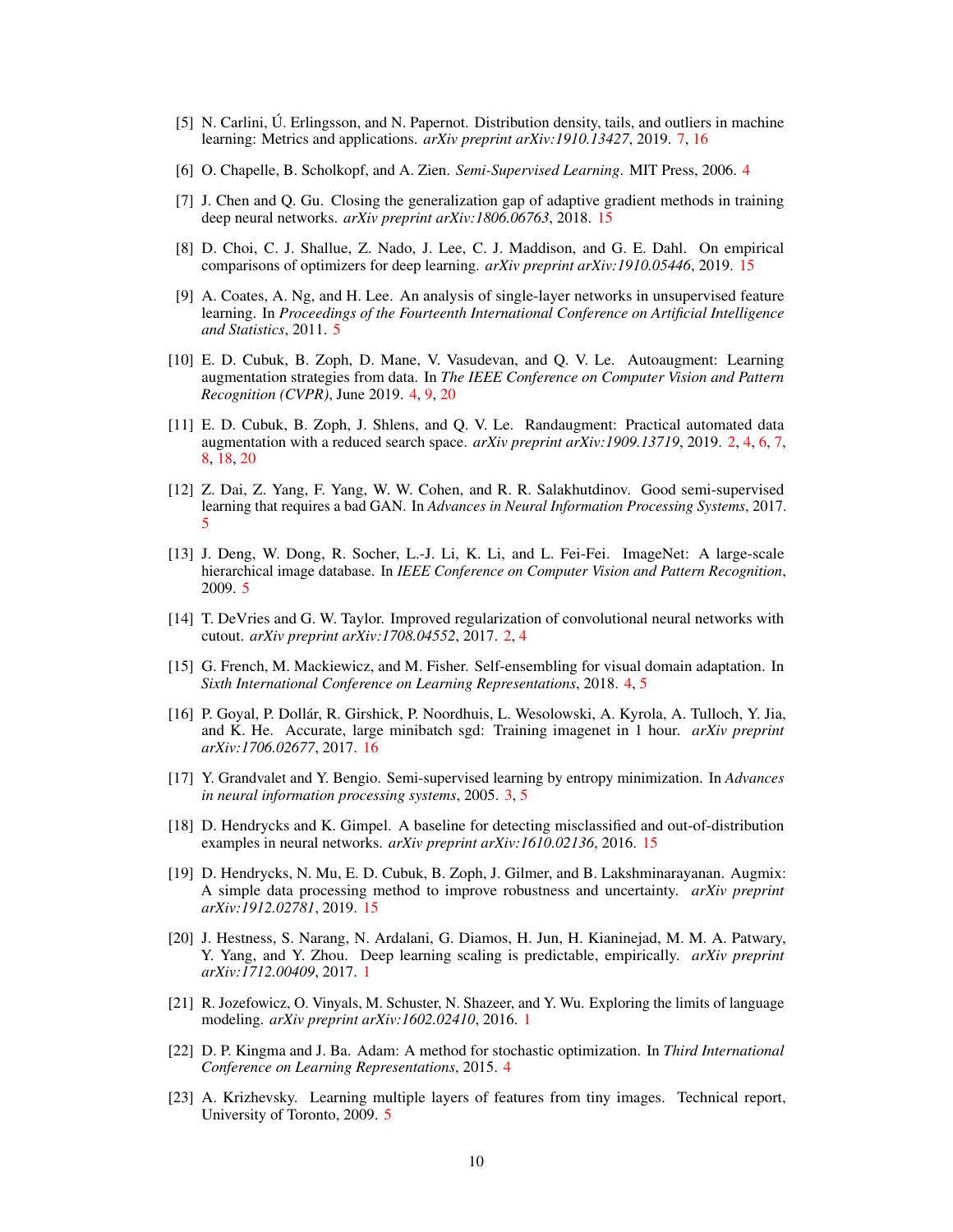- <span id="page-9-13"></span>[5] N. Carlini, Ú. Erlingsson, and N. Papernot. Distribution density, tails, and outliers in machine learning: Metrics and applications. *arXiv preprint arXiv:1910.13427*, 2019. [7,](#page-6-3) [16](#page--1-12)
- <span id="page-9-8"></span>[6] O. Chapelle, B. Scholkopf, and A. Zien. *Semi-Supervised Learning*. MIT Press, 2006. [4](#page-3-2)
- [7] J. Chen and Q. Gu. Closing the generalization gap of adaptive gradient methods in training deep neural networks. *arXiv preprint arXiv:1806.06763*, 2018. [15](#page--1-12)
- [8] D. Choi, C. J. Shallue, Z. Nado, J. Lee, C. J. Maddison, and G. E. Dahl. On empirical comparisons of optimizers for deep learning. *arXiv preprint arXiv:1910.05446*, 2019. [15](#page--1-12)
- <span id="page-9-11"></span>[9] A. Coates, A. Ng, and H. Lee. An analysis of single-layer networks in unsupervised feature learning. In *Proceedings of the Fourteenth International Conference on Artificial Intelligence and Statistics*, 2011. [5](#page-4-1)
- <span id="page-9-6"></span>[10] E. D. Cubuk, B. Zoph, D. Mane, V. Vasudevan, and Q. V. Le. Autoaugment: Learning augmentation strategies from data. In *The IEEE Conference on Computer Vision and Pattern Recognition (CVPR)*, June 2019. [4,](#page-3-2) [9,](#page-8-4) [20](#page--1-12)
- <span id="page-9-3"></span>[11] E. D. Cubuk, B. Zoph, J. Shlens, and Q. V. Le. Randaugment: Practical automated data augmentation with a reduced search space. *arXiv preprint arXiv:1909.13719*, 2019. [2,](#page-1-2) [4,](#page-3-2) [6,](#page-5-2) [7,](#page-6-3) [8,](#page-7-3) [18,](#page--1-12) [20](#page--1-12)
- <span id="page-9-9"></span>[12] Z. Dai, Z. Yang, F. Yang, W. W. Cohen, and R. R. Salakhutdinov. Good semi-supervised learning that requires a bad GAN. In *Advances in Neural Information Processing Systems*, 2017. [5](#page-4-1)
- <span id="page-9-12"></span>[13] J. Deng, W. Dong, R. Socher, L.-J. Li, K. Li, and L. Fei-Fei. ImageNet: A large-scale hierarchical image database. In *IEEE Conference on Computer Vision and Pattern Recognition*, 2009. [5](#page-4-1)
- <span id="page-9-2"></span>[14] T. DeVries and G. W. Taylor. Improved regularization of convolutional neural networks with cutout. *arXiv preprint arXiv:1708.04552*, 2017. [2,](#page-1-2) [4](#page-3-2)
- <span id="page-9-5"></span>[15] G. French, M. Mackiewicz, and M. Fisher. Self-ensembling for visual domain adaptation. In *Sixth International Conference on Learning Representations*, 2018. [4,](#page-3-2) [5](#page-4-1)
- [16] P. Goyal, P. Dollár, R. Girshick, P. Noordhuis, L. Wesolowski, A. Kyrola, A. Tulloch, Y. Jia, and K. He. Accurate, large minibatch sgd: Training imagenet in 1 hour. *arXiv preprint arXiv:1706.02677*, 2017. [16](#page--1-12)
- <span id="page-9-4"></span>[17] Y. Grandvalet and Y. Bengio. Semi-supervised learning by entropy minimization. In *Advances in neural information processing systems*, 2005. [3,](#page-2-5) [5](#page-4-1)
- [18] D. Hendrycks and K. Gimpel. A baseline for detecting misclassified and out-of-distribution examples in neural networks. *arXiv preprint arXiv:1610.02136*, 2016. [15](#page--1-12)
- [19] D. Hendrycks, N. Mu, E. D. Cubuk, B. Zoph, J. Gilmer, and B. Lakshminarayanan. Augmix: A simple data processing method to improve robustness and uncertainty. *arXiv preprint arXiv:1912.02781*, 2019. [15](#page--1-12)
- <span id="page-9-0"></span>[20] J. Hestness, S. Narang, N. Ardalani, G. Diamos, H. Jun, H. Kianinejad, M. M. A. Patwary, Y. Yang, and Y. Zhou. Deep learning scaling is predictable, empirically. *arXiv preprint arXiv:1712.00409*, 2017. [1](#page-0-0)
- <span id="page-9-1"></span>[21] R. Jozefowicz, O. Vinyals, M. Schuster, N. Shazeer, and Y. Wu. Exploring the limits of language modeling. *arXiv preprint arXiv:1602.02410*, 2016. [1](#page-0-0)
- <span id="page-9-7"></span>[22] D. P. Kingma and J. Ba. Adam: A method for stochastic optimization. In *Third International Conference on Learning Representations*, 2015. [4](#page-3-2)
- <span id="page-9-10"></span>[23] A. Krizhevsky. Learning multiple layers of features from tiny images. Technical report, University of Toronto, 2009. [5](#page-4-1)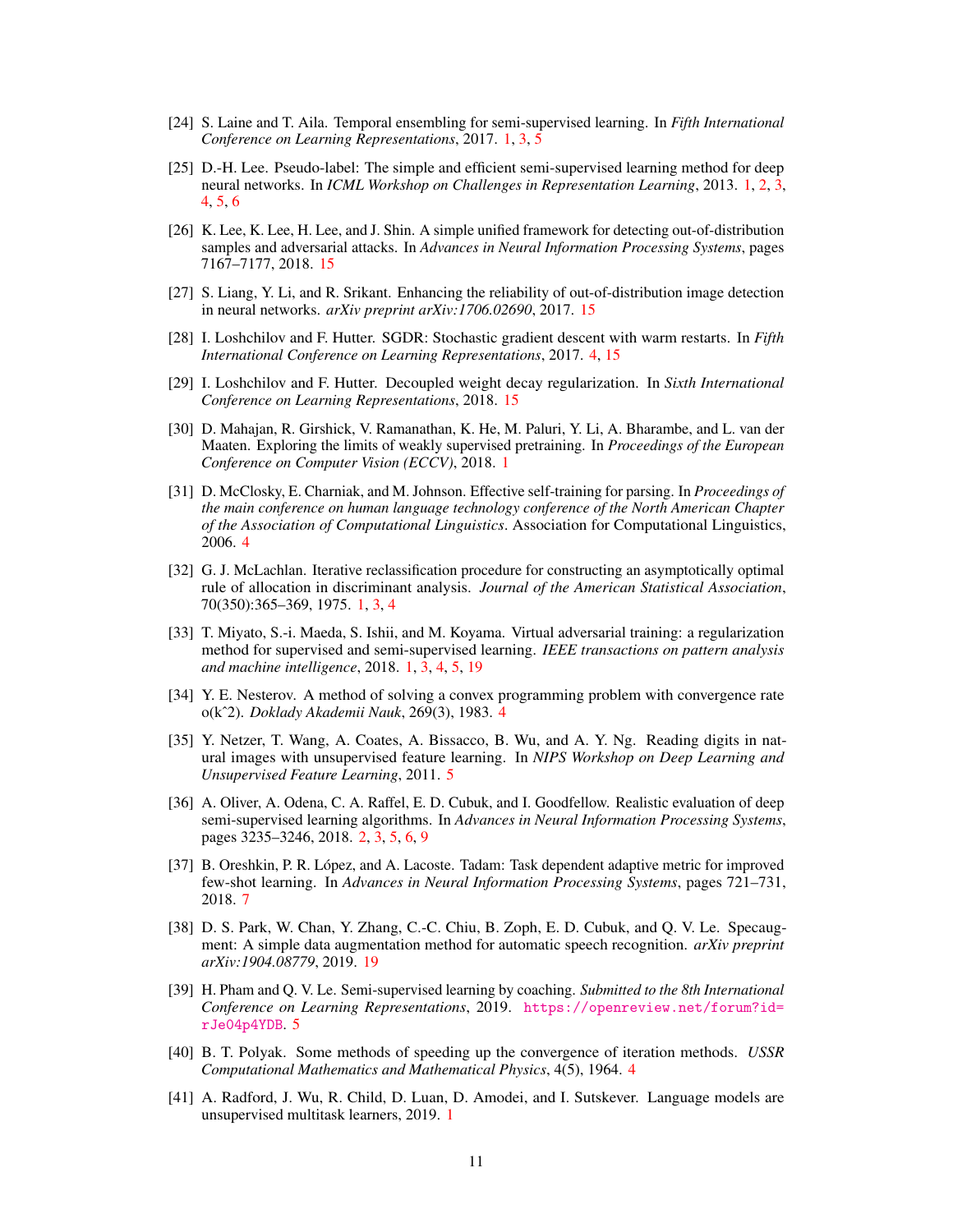- <span id="page-10-3"></span>[24] S. Laine and T. Aila. Temporal ensembling for semi-supervised learning. In *Fifth International Conference on Learning Representations*, 2017. [1,](#page-0-0) [3,](#page-2-5) [5](#page-4-1)
- <span id="page-10-4"></span>[25] D.-H. Lee. Pseudo-label: The simple and efficient semi-supervised learning method for deep neural networks. In *ICML Workshop on Challenges in Representation Learning*, 2013. [1,](#page-0-0) [2,](#page-1-2) [3,](#page-2-5) [4,](#page-3-2) [5,](#page-4-1) [6](#page-5-2)
- [26] K. Lee, K. Lee, H. Lee, and J. Shin. A simple unified framework for detecting out-of-distribution samples and adversarial attacks. In *Advances in Neural Information Processing Systems*, pages 7167–7177, 2018. [15](#page--1-12)
- [27] S. Liang, Y. Li, and R. Srikant. Enhancing the reliability of out-of-distribution image detection in neural networks. *arXiv preprint arXiv:1706.02690*, 2017. [15](#page--1-12)
- <span id="page-10-9"></span>[28] I. Loshchilov and F. Hutter. SGDR: Stochastic gradient descent with warm restarts. In *Fifth International Conference on Learning Representations*, 2017. [4,](#page-3-2) [15](#page--1-12)
- [29] I. Loshchilov and F. Hutter. Decoupled weight decay regularization. In *Sixth International Conference on Learning Representations*, 2018. [15](#page--1-12)
- <span id="page-10-0"></span>[30] D. Mahajan, R. Girshick, V. Ramanathan, K. He, M. Paluri, Y. Li, A. Bharambe, and L. van der Maaten. Exploring the limits of weakly supervised pretraining. In *Proceedings of the European Conference on Computer Vision (ECCV)*, 2018. [1](#page-0-0)
- <span id="page-10-10"></span>[31] D. McClosky, E. Charniak, and M. Johnson. Effective self-training for parsing. In *Proceedings of the main conference on human language technology conference of the North American Chapter of the Association of Computational Linguistics*. Association for Computational Linguistics, 2006. [4](#page-3-2)
- <span id="page-10-5"></span>[32] G. J. McLachlan. Iterative reclassification procedure for constructing an asymptotically optimal rule of allocation in discriminant analysis. *Journal of the American Statistical Association*, 70(350):365–369, 1975. [1,](#page-0-0) [3,](#page-2-5) [4](#page-3-2)
- <span id="page-10-2"></span>[33] T. Miyato, S.-i. Maeda, S. Ishii, and M. Koyama. Virtual adversarial training: a regularization method for supervised and semi-supervised learning. *IEEE transactions on pattern analysis and machine intelligence*, 2018. [1,](#page-0-0) [3,](#page-2-5) [4,](#page-3-2) [5,](#page-4-1) [19](#page--1-12)
- <span id="page-10-8"></span>[34] Y. E. Nesterov. A method of solving a convex programming problem with convergence rate o(kˆ2). *Doklady Akademii Nauk*, 269(3), 1983. [4](#page-3-2)
- <span id="page-10-12"></span>[35] Y. Netzer, T. Wang, A. Coates, A. Bissacco, B. Wu, and A. Y. Ng. Reading digits in natural images with unsupervised feature learning. In *NIPS Workshop on Deep Learning and Unsupervised Feature Learning*, 2011. [5](#page-4-1)
- <span id="page-10-6"></span>[36] A. Oliver, A. Odena, C. A. Raffel, E. D. Cubuk, and I. Goodfellow. Realistic evaluation of deep semi-supervised learning algorithms. In *Advances in Neural Information Processing Systems*, pages 3235–3246, 2018. [2,](#page-1-2) [3,](#page-2-5) [5,](#page-4-1) [6,](#page-5-2) [9](#page-8-4)
- <span id="page-10-13"></span>[37] B. Oreshkin, P. R. López, and A. Lacoste. Tadam: Task dependent adaptive metric for improved few-shot learning. In *Advances in Neural Information Processing Systems*, pages 721–731, 2018. [7](#page-6-3)
- [38] D. S. Park, W. Chan, Y. Zhang, C.-C. Chiu, B. Zoph, E. D. Cubuk, and Q. V. Le. Specaugment: A simple data augmentation method for automatic speech recognition. *arXiv preprint arXiv:1904.08779*, 2019. [19](#page--1-12)
- <span id="page-10-11"></span>[39] H. Pham and Q. V. Le. Semi-supervised learning by coaching. *Submitted to the 8th International Conference on Learning Representations*, 2019. [https://openreview.net/forum?id=](https://openreview.net/forum?id=rJe04p4YDB) [rJe04p4YDB](https://openreview.net/forum?id=rJe04p4YDB). [5](#page-4-1)
- <span id="page-10-7"></span>[40] B. T. Polyak. Some methods of speeding up the convergence of iteration methods. *USSR Computational Mathematics and Mathematical Physics*, 4(5), 1964. [4](#page-3-2)
- <span id="page-10-1"></span>[41] A. Radford, J. Wu, R. Child, D. Luan, D. Amodei, and I. Sutskever. Language models are unsupervised multitask learners, 2019. [1](#page-0-0)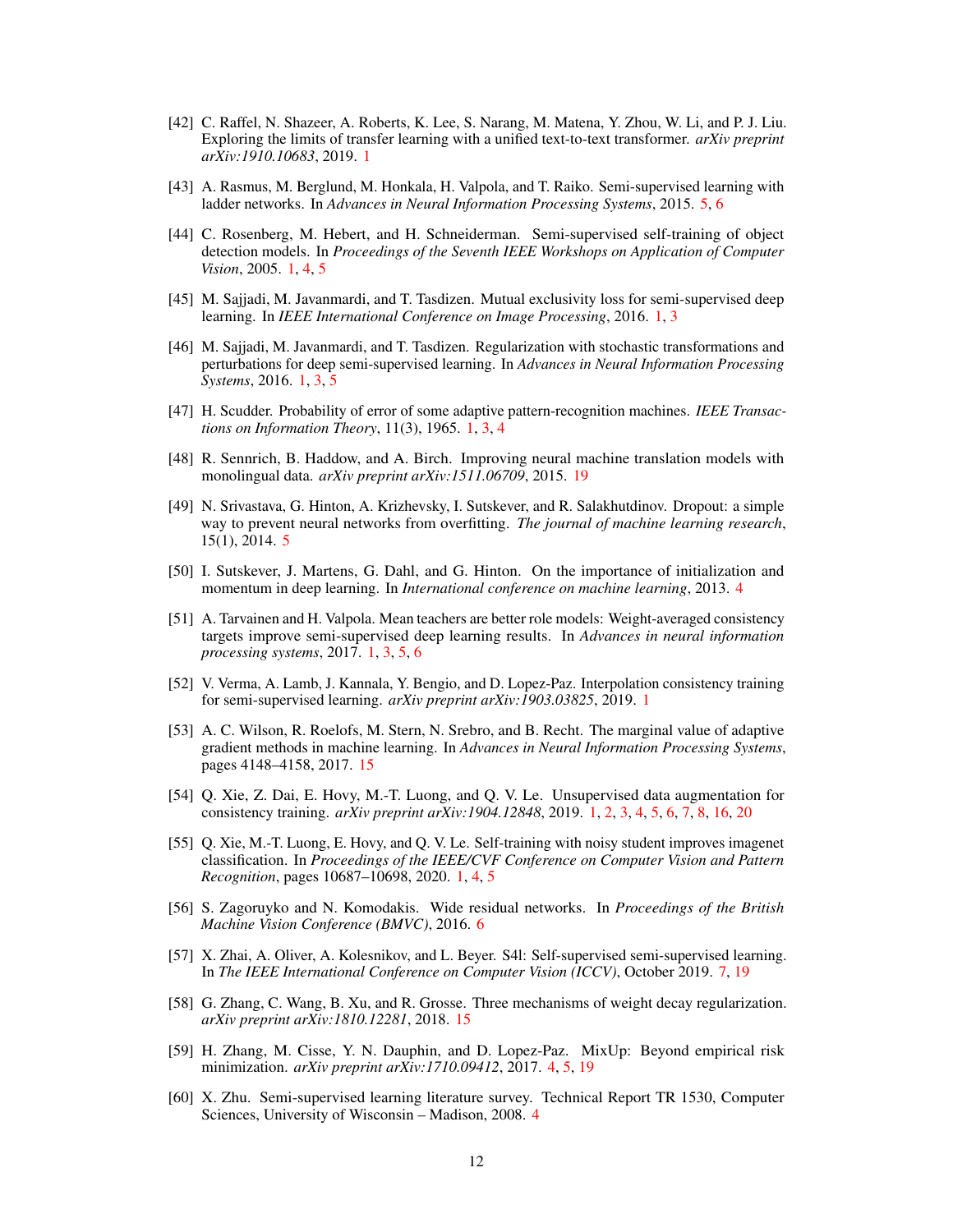- <span id="page-11-0"></span>[42] C. Raffel, N. Shazeer, A. Roberts, K. Lee, S. Narang, M. Matena, Y. Zhou, W. Li, and P. J. Liu. Exploring the limits of transfer learning with a unified text-to-text transformer. *arXiv preprint arXiv:1910.10683*, 2019. [1](#page-0-0)
- <span id="page-11-12"></span>[43] A. Rasmus, M. Berglund, M. Honkala, H. Valpola, and T. Raiko. Semi-supervised learning with ladder networks. In *Advances in Neural Information Processing Systems*, 2015. [5,](#page-4-1) [6](#page-5-2)
- <span id="page-11-7"></span>[44] C. Rosenberg, M. Hebert, and H. Schneiderman. Semi-supervised self-training of object detection models. In *Proceedings of the Seventh IEEE Workshops on Application of Computer Vision*, 2005. [1,](#page-0-0) [4,](#page-3-2) [5](#page-4-1)
- <span id="page-11-5"></span>[45] M. Sajjadi, M. Javanmardi, and T. Tasdizen. Mutual exclusivity loss for semi-supervised deep learning. In *IEEE International Conference on Image Processing*, 2016. [1,](#page-0-0) [3](#page-2-5)
- <span id="page-11-2"></span>[46] M. Sajjadi, M. Javanmardi, and T. Tasdizen. Regularization with stochastic transformations and perturbations for deep semi-supervised learning. In *Advances in Neural Information Processing Systems*, 2016. [1,](#page-0-0) [3,](#page-2-5) [5](#page-4-1)
- <span id="page-11-8"></span>[47] H. Scudder. Probability of error of some adaptive pattern-recognition machines. *IEEE Transactions on Information Theory*, 11(3), 1965. [1,](#page-0-0) [3,](#page-2-5) [4](#page-3-2)
- [48] R. Sennrich, B. Haddow, and A. Birch. Improving neural machine translation models with monolingual data. *arXiv preprint arXiv:1511.06709*, 2015. [19](#page--1-12)
- <span id="page-11-13"></span>[49] N. Srivastava, G. Hinton, A. Krizhevsky, I. Sutskever, and R. Salakhutdinov. Dropout: a simple way to prevent neural networks from overfitting. *The journal of machine learning research*, 15(1), 2014. [5](#page-4-1)
- <span id="page-11-9"></span>[50] I. Sutskever, J. Martens, G. Dahl, and G. Hinton. On the importance of initialization and momentum in deep learning. In *International conference on machine learning*, 2013. [4](#page-3-2)
- <span id="page-11-3"></span>[51] A. Tarvainen and H. Valpola. Mean teachers are better role models: Weight-averaged consistency targets improve semi-supervised deep learning results. In *Advances in neural information processing systems*, 2017. [1,](#page-0-0) [3,](#page-2-5) [5,](#page-4-1) [6](#page-5-2)
- <span id="page-11-6"></span>[52] V. Verma, A. Lamb, J. Kannala, Y. Bengio, and D. Lopez-Paz. Interpolation consistency training for semi-supervised learning. *arXiv preprint arXiv:1903.03825*, 2019. [1](#page-0-0)
- [53] A. C. Wilson, R. Roelofs, M. Stern, N. Srebro, and B. Recht. The marginal value of adaptive gradient methods in machine learning. In *Advances in Neural Information Processing Systems*, pages 4148–4158, 2017. [15](#page--1-12)
- <span id="page-11-4"></span>[54] Q. Xie, Z. Dai, E. Hovy, M.-T. Luong, and Q. V. Le. Unsupervised data augmentation for consistency training. *arXiv preprint arXiv:1904.12848*, 2019. [1,](#page-0-0) [2,](#page-1-2) [3,](#page-2-5) [4,](#page-3-2) [5,](#page-4-1) [6,](#page-5-2) [7,](#page-6-3) [8,](#page-7-3) [16,](#page--1-12) [20](#page--1-12)
- <span id="page-11-1"></span>[55] Q. Xie, M.-T. Luong, E. Hovy, and Q. V. Le. Self-training with noisy student improves imagenet classification. In *Proceedings of the IEEE/CVF Conference on Computer Vision and Pattern Recognition*, pages 10687–10698, 2020. [1,](#page-0-0) [4,](#page-3-2) [5](#page-4-1)
- <span id="page-11-14"></span>[56] S. Zagoruyko and N. Komodakis. Wide residual networks. In *Proceedings of the British Machine Vision Conference (BMVC)*, 2016. [6](#page-5-2)
- <span id="page-11-15"></span>[57] X. Zhai, A. Oliver, A. Kolesnikov, and L. Beyer. S4l: Self-supervised semi-supervised learning. In *The IEEE International Conference on Computer Vision (ICCV)*, October 2019. [7,](#page-6-3) [19](#page--1-12)
- [58] G. Zhang, C. Wang, B. Xu, and R. Grosse. Three mechanisms of weight decay regularization. *arXiv preprint arXiv:1810.12281*, 2018. [15](#page--1-12)
- <span id="page-11-10"></span>[59] H. Zhang, M. Cisse, Y. N. Dauphin, and D. Lopez-Paz. MixUp: Beyond empirical risk minimization. *arXiv preprint arXiv:1710.09412*, 2017. [4,](#page-3-2) [5,](#page-4-1) [19](#page--1-12)
- <span id="page-11-11"></span>[60] X. Zhu. Semi-supervised learning literature survey. Technical Report TR 1530, Computer Sciences, University of Wisconsin – Madison, 2008. [4](#page-3-2)